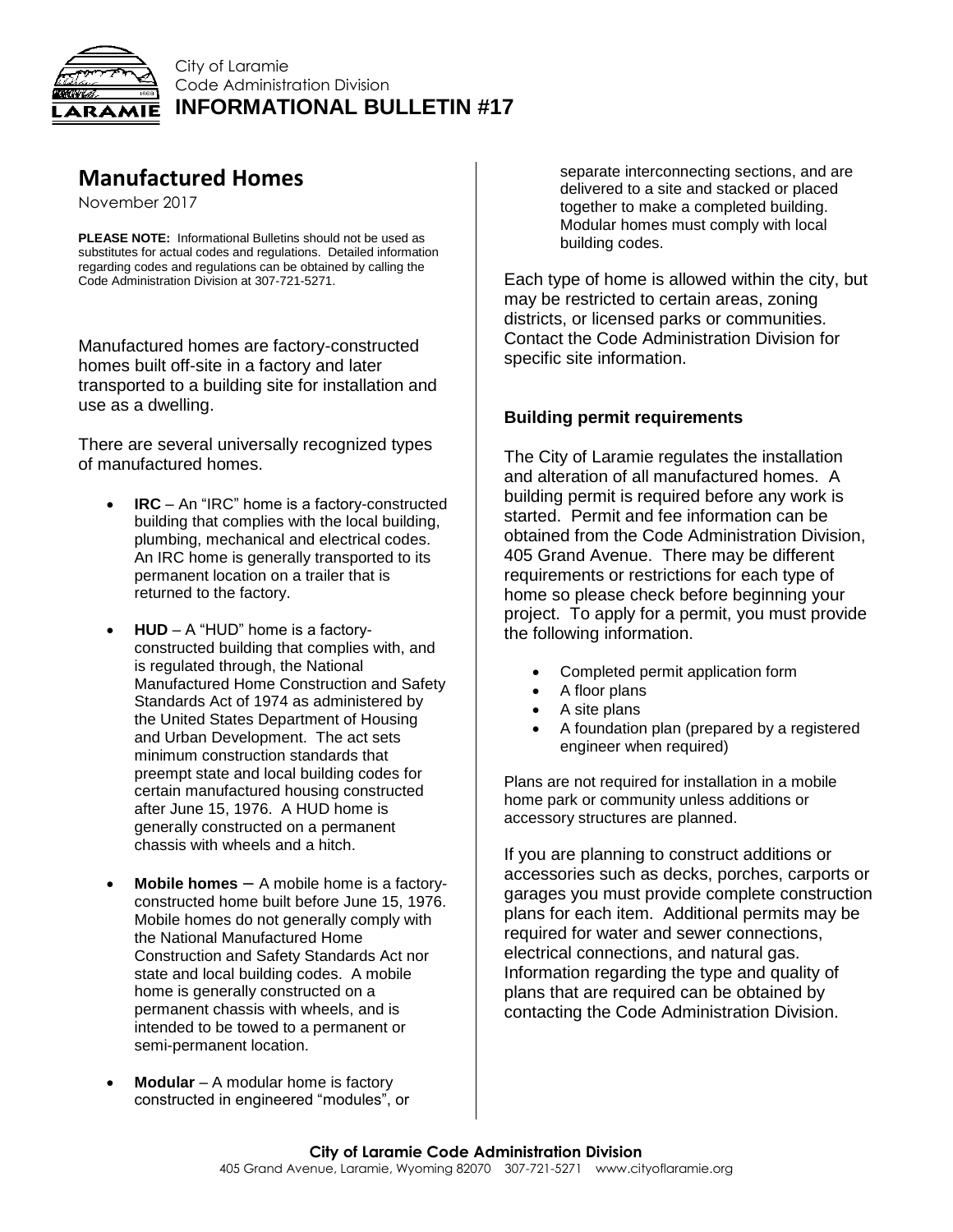

City of Laramie Code Administration Division **INFORMATIONAL BULLETIN #17**

## **Manufactured Homes**

November 2017

**PLEASE NOTE:** Informational Bulletins should not be used as substitutes for actual codes and regulations. Detailed information regarding codes and regulations can be obtained by calling the Code Administration Division at 307-721-5271.

Manufactured homes are factory-constructed homes built off-site in a factory and later transported to a building site for installation and use as a dwelling.

There are several universally recognized types of manufactured homes.

- **IRC** An "IRC" home is a factory-constructed building that complies with the local building, plumbing, mechanical and electrical codes. An IRC home is generally transported to its permanent location on a trailer that is returned to the factory.
- **HUD** A "HUD" home is a factoryconstructed building that complies with, and is regulated through, the National Manufactured Home Construction and Safety Standards Act of 1974 as administered by the United States Department of Housing and Urban Development. The act sets minimum construction standards that preempt state and local building codes for certain manufactured housing constructed after June 15, 1976. A HUD home is generally constructed on a permanent chassis with wheels and a hitch.
- **Mobile homes**  $A$  mobile home is a factoryconstructed home built before June 15, 1976. Mobile homes do not generally comply with the National Manufactured Home Construction and Safety Standards Act nor state and local building codes. A mobile home is generally constructed on a permanent chassis with wheels, and is intended to be towed to a permanent or semi-permanent location.
- **Modular** A modular home is factory constructed in engineered "modules", or

separate interconnecting sections, and are delivered to a site and stacked or placed together to make a completed building. Modular homes must comply with local building codes.

Each type of home is allowed within the city, but may be restricted to certain areas, zoning districts, or licensed parks or communities. Contact the Code Administration Division for specific site information.

## **Building permit requirements**

The City of Laramie regulates the installation and alteration of all manufactured homes. A building permit is required before any work is started. Permit and fee information can be obtained from the Code Administration Division, 405 Grand Avenue. There may be different requirements or restrictions for each type of home so please check before beginning your project. To apply for a permit, you must provide the following information.

- Completed permit application form
- A floor plans
- A site plans
- A foundation plan (prepared by a registered engineer when required)

Plans are not required for installation in a mobile home park or community unless additions or accessory structures are planned.

If you are planning to construct additions or accessories such as decks, porches, carports or garages you must provide complete construction plans for each item. Additional permits may be required for water and sewer connections, electrical connections, and natural gas. Information regarding the type and quality of plans that are required can be obtained by contacting the Code Administration Division.